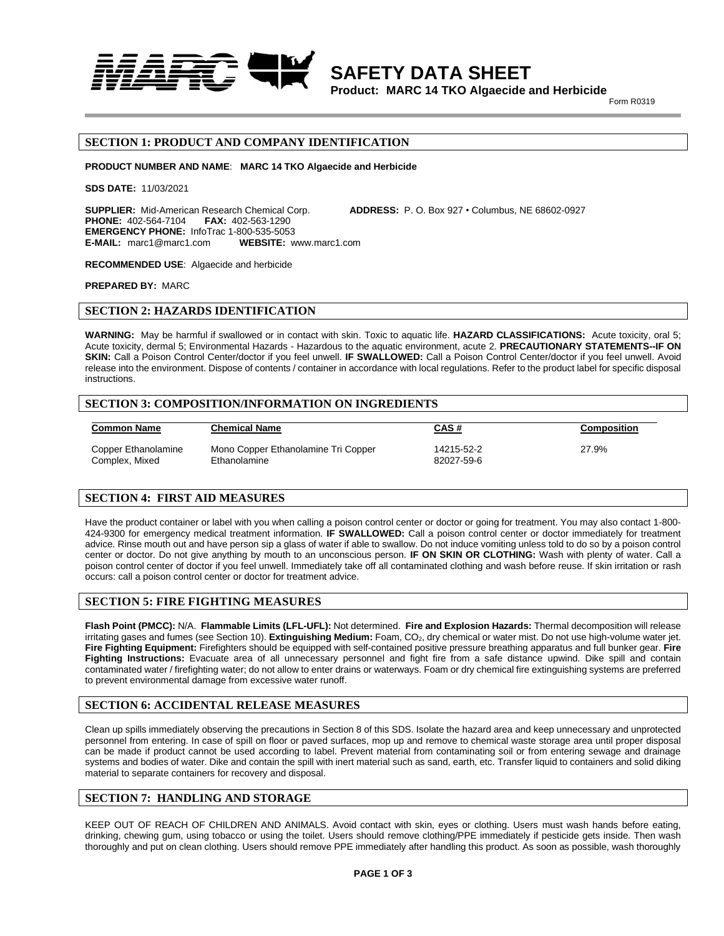

**SAFETY DATA SHEET Product: MARC 14 TKO Algaecide and Herbicide**

**Example 2018 Property 2019 Form R0319** 

## **SECTION 1: PRODUCT AND COMPANY IDENTIFICATION**

**PRODUCT NUMBER AND NAME**: **MARC 14 TKO Algaecide and Herbicide**

**SDS DATE:** 11/03/2021

**SUPPLIER:** Mid-American Research Chemical Corp. **ADDRESS:** P. O. Box 927 • Columbus, NE 68602-0927 **PHONE:** 402-564-7104 **FAX:** 402-563-1290 **EMERGENCY PHONE:** InfoTrac 1-800-535-5053 **E-MAIL:** marc1@marc1.com **WEBSITE:** www.marc1.com

**RECOMMENDED USE**: Algaecide and herbicide

**PREPARED BY:** MARC

## **SECTION 2: HAZARDS IDENTIFICATION**

**WARNING:** May be harmful if swallowed or in contact with skin. Toxic to aquatic life. **HAZARD CLASSIFICATIONS:** Acute toxicity, oral 5; Acute toxicity, dermal 5; Environmental Hazards - Hazardous to the aquatic environment, acute 2. **PRECAUTIONARY STATEMENTS--IF ON SKIN:** Call a Poison Control Center/doctor if you feel unwell. **IF SWALLOWED:** Call a Poison Control Center/doctor if you feel unwell. Avoid release into the environment. Dispose of contents / container in accordance with local regulations. Refer to the product label for specific disposal **instructions** 

## **SECTION 3: COMPOSITION/INFORMATION ON INGREDIENTS**

| <b>Common Name</b>  | <b>Chemical Name</b>                | <b>CAS#</b> | Composition |
|---------------------|-------------------------------------|-------------|-------------|
| Copper Ethanolamine | Mono Copper Ethanolamine Tri Copper | 14215-52-2  | 27.9%       |
| Complex, Mixed      | Ethanolamine                        | 82027-59-6  |             |

## **SECTION 4: FIRST AID MEASURES**

Have the product container or label with you when calling a poison control center or doctor or going for treatment. You may also contact 1-800- 424-9300 for emergency medical treatment information. **IF SWALLOWED:** Call a poison control center or doctor immediately for treatment advice. Rinse mouth out and have person sip a glass of water if able to swallow. Do not induce vomiting unless told to do so by a poison control center or doctor. Do not give anything by mouth to an unconscious person. **IF ON SKIN OR CLOTHING:** Wash with plenty of water. Call a poison control center of doctor if you feel unwell. Immediately take off all contaminated clothing and wash before reuse. If skin irritation or rash occurs: call a poison control center or doctor for treatment advice.

## **SECTION 5: FIRE FIGHTING MEASURES**

**Flash Point (PMCC):** N/A. **Flammable Limits (LFL-UFL):** Not determined. **Fire and Explosion Hazards:** Thermal decomposition will release irritating gases and fumes (see Section 10). Extinguishing Medium: Foam, CO<sub>2</sub>, dry chemical or water mist. Do not use high-volume water jet. **Fire Fighting Equipment:** Firefighters should be equipped with self-contained positive pressure breathing apparatus and full bunker gear. **Fire Fighting Instructions:** Evacuate area of all unnecessary personnel and fight fire from a safe distance upwind. Dike spill and contain contaminated water / firefighting water; do not allow to enter drains or waterways. Foam or dry chemical fire extinguishing systems are preferred to prevent environmental damage from excessive water runoff.

## **SECTION 6: ACCIDENTAL RELEASE MEASURES**

Clean up spills immediately observing the precautions in Section 8 of this SDS. Isolate the hazard area and keep unnecessary and unprotected personnel from entering. In case of spill on floor or paved surfaces, mop up and remove to chemical waste storage area until proper disposal can be made if product cannot be used according to label. Prevent material from contaminating soil or from entering sewage and drainage systems and bodies of water. Dike and contain the spill with inert material such as sand, earth, etc. Transfer liquid to containers and solid diking material to separate containers for recovery and disposal.

## **SECTION 7: HANDLING AND STORAGE**

KEEP OUT OF REACH OF CHILDREN AND ANIMALS. Avoid contact with skin, eyes or clothing. Users must wash hands before eating, drinking, chewing gum, using tobacco or using the toilet. Users should remove clothing/PPE immediately if pesticide gets inside. Then wash thoroughly and put on clean clothing. Users should remove PPE immediately after handling this product. As soon as possible, wash thoroughly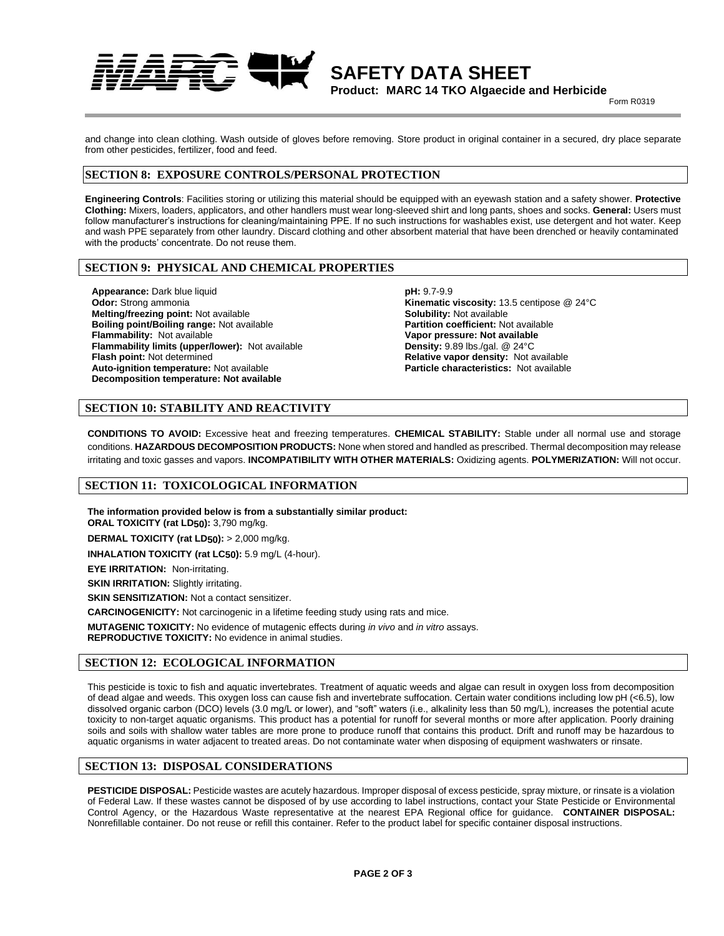**SAFETY DATA SHEET**

**Product: MARC 14 TKO Algaecide and Herbicide Example 2018 Property 2019 Form R0319** 

and change into clean clothing. Wash outside of gloves before removing. Store product in original container in a secured, dry place separate from other pesticides, fertilizer, food and feed.

# **SECTION 8: EXPOSURE CONTROLS/PERSONAL PROTECTION**

**Engineering Controls**: Facilities storing or utilizing this material should be equipped with an eyewash station and a safety shower. **Protective Clothing:** Mixers, loaders, applicators, and other handlers must wear long-sleeved shirt and long pants, shoes and socks. **General:** Users must follow manufacturer's instructions for cleaning/maintaining PPE. If no such instructions for washables exist, use detergent and hot water. Keep and wash PPE separately from other laundry. Discard clothing and other absorbent material that have been drenched or heavily contaminated with the products' concentrate. Do not reuse them.

# **SECTION 9: PHYSICAL AND CHEMICAL PROPERTIES**

**Appearance:** Dark blue liquid **Odor:** Strong ammonia **Melting/freezing point:** Not available **Boiling point/Boiling range:** Not available **Flammability:** Not available **Flammability limits (upper/lower):** Not available **Flash point:** Not determined **Auto-ignition temperature:** Not available **Decomposition temperature: Not available**

**pH:** 9.7-9.9 **Kinematic viscosity:** 13.5 centipose @ 24°C **Solubility:** Not available **Partition coefficient:** Not available **Vapor pressure: Not available Density:** 9.89 lbs./gal. @ 24°C **Relative vapor density:** Not available **Particle characteristics:** Not available

# **SECTION 10: STABILITY AND REACTIVITY**

**CONDITIONS TO AVOID:** Excessive heat and freezing temperatures. **CHEMICAL STABILITY:** Stable under all normal use and storage conditions. **HAZARDOUS DECOMPOSITION PRODUCTS:** None when stored and handled as prescribed. Thermal decomposition may release irritating and toxic gasses and vapors. **INCOMPATIBILITY WITH OTHER MATERIALS:** Oxidizing agents. **POLYMERIZATION:** Will not occur.

# **SECTION 11: TOXICOLOGICAL INFORMATION**

**The information provided below is from a substantially similar product: ORAL TOXICITY (rat LD50):** 3,790 mg/kg.

**DERMAL TOXICITY (rat LD50):** > 2,000 mg/kg.

**INHALATION TOXICITY (rat LC50):** 5.9 mg/L (4-hour).

**EYE IRRITATION:** Non-irritating.

**SKIN IRRITATION: Slightly irritating.** 

**SKIN SENSITIZATION:** Not a contact sensitizer.

**CARCINOGENICITY:** Not carcinogenic in a lifetime feeding study using rats and mice.

**MUTAGENIC TOXICITY:** No evidence of mutagenic effects during *in vivo* and *in vitro* assays. **REPRODUCTIVE TOXICITY:** No evidence in animal studies.

## **SECTION 12: ECOLOGICAL INFORMATION**

This pesticide is toxic to fish and aquatic invertebrates. Treatment of aquatic weeds and algae can result in oxygen loss from decomposition of dead algae and weeds. This oxygen loss can cause fish and invertebrate suffocation. Certain water conditions including low pH (<6.5), low dissolved organic carbon (DCO) levels (3.0 mg/L or lower), and "soft" waters (i.e., alkalinity less than 50 mg/L), increases the potential acute toxicity to non-target aquatic organisms. This product has a potential for runoff for several months or more after application. Poorly draining soils and soils with shallow water tables are more prone to produce runoff that contains this product. Drift and runoff may be hazardous to aquatic organisms in water adjacent to treated areas. Do not contaminate water when disposing of equipment washwaters or rinsate.

## **SECTION 13: DISPOSAL CONSIDERATIONS**

**PESTICIDE DISPOSAL:** Pesticide wastes are acutely hazardous. Improper disposal of excess pesticide, spray mixture, or rinsate is a violation of Federal Law. If these wastes cannot be disposed of by use according to label instructions, contact your State Pesticide or Environmental Control Agency, or the Hazardous Waste representative at the nearest EPA Regional office for guidance. **CONTAINER DISPOSAL:** Nonrefillable container. Do not reuse or refill this container. Refer to the product label for specific container disposal instructions.